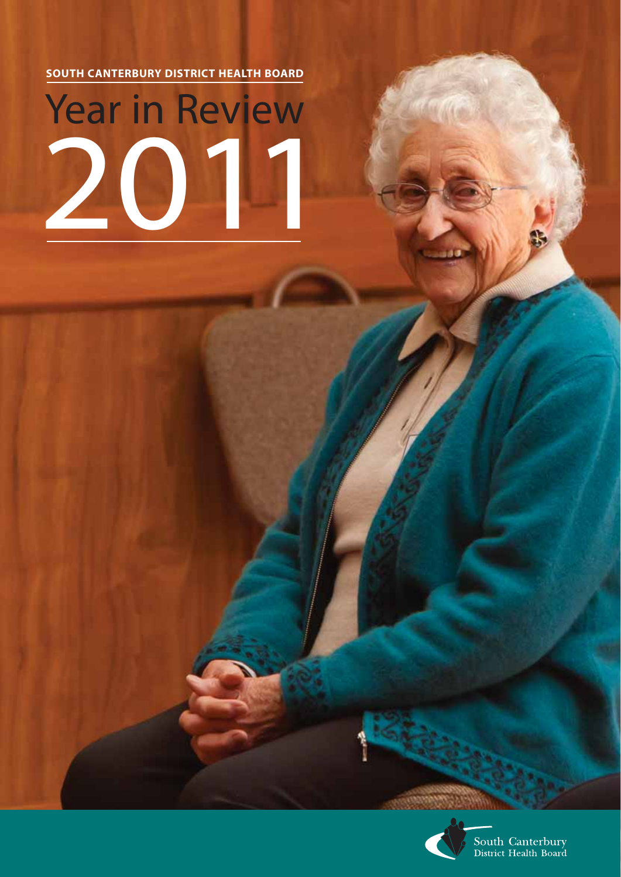**SOUTH CANTERBURY DISTRICT HEALTH BOARD**

# Year in Review 2011



South Canterbury<br>District Health Board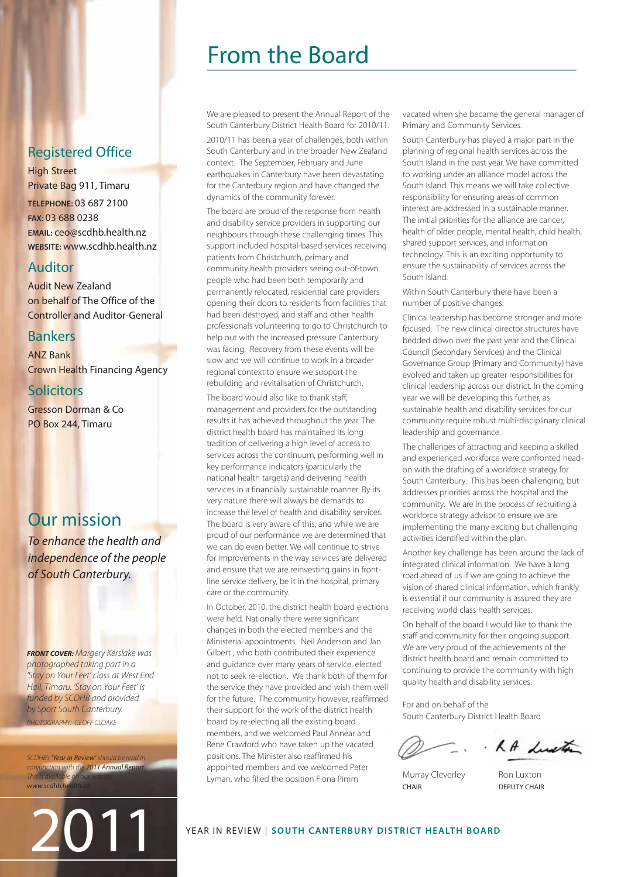# From the Board

We are pleased to present the Annual Report of the South Canterbury District Health Board for 2010/11.

2010/11 has been a year of challenges, both within South Canterbury and in the broader New Zealand context. The September, February and June earthquakes in Canterbury have been devastating for the Canterbury region and have changed the dynamics of the community forever.

The board are proud of the response from health and disability service providers in supporting our neighbours through these challenging times. This support included hospital-based services receiving patients from Christchurch, primary and community health providers seeing out-of-town people who had been both temporarily and permanently relocated, residential care providers opening their doors to residents from facilities that had been destroyed, and staff and other health professionals volunteering to go to Christchurch to help out with the increased pressure Canterbury was facing. Recovery from these events will be slow and we will continue to work in a broader regional context to ensure we support the rebuilding and revitalisation of Christchurch.

The board would also like to thank staff, management and providers for the outstanding results it has achieved throughout the year. The district health board has maintained its long tradition of delivering a high level of access to services across the continuum, performing well in key performance indicators (particularly the national health targets) and delivering health services in a financially sustainable manner. By its very nature there will always be demands to increase the level of health and disability services. The board is very aware of this, and while we are proud of our performance we are determined that we can do even better. We will continue to strive for improvements in the way services are delivered and ensure that we are reinvesting gains in frontline service delivery, be it in the hospital, primary care or the community.

In October, 2010, the district health board elections were held. Nationally there were significant changes in both the elected members and the Ministerial appointments. Neil Anderson and Jan Gilbert , who both contributed their experience and guidance over many years of service, elected not to seek re-election. We thank both of them for the service they have provided and wish them well for the future. The community however, reaffirmed their support for the work of the district health board by re-electing all the existing board members, and we welcomed Paul Annear and Rene Crawford who have taken up the vacated positions. The Minister also reaffirmed his appointed members and we welcomed Peter Lyman, who filled the position Fiona Pimm

vacated when she became the general manager of Primary and Community Services.

South Canterbury has played a major part in the planning of regional health services across the South Island in the past year. We have committed to working under an alliance model across the South Island. This means we will take collective responsibility for ensuring areas of common interest are addressed in a sustainable manner. The initial priorities for the alliance are cancer, health of older people, mental health, child health, shared support services, and information technology. This is an exciting opportunity to ensure the sustainability of services across the South Island.

Within South Canterbury there have been a number of positive changes:

Clinical leadership has become stronger and more focused. The new clinical director structures have bedded down over the past year and the Clinical Council (Secondary Services) and the Clinical Governance Group (Primary and Community) have evolved and taken up greater responsibilities for clinical leadership across our district. In the coming year we will be developing this further, as sustainable health and disability services for our community require robust multi-disciplinary clinical leadership and governance.

The challenges of attracting and keeping a skilled and experienced workforce were confronted headon with the drafting of a workforce strategy for South Canterbury. This has been challenging, but addresses priorities across the hospital and the community. We are in the process of recruiting a workforce strategy advisor to ensure we are implementing the many exciting but challenging activities identified within the plan.

Another key challenge has been around the lack of integrated clinical information. We have a long road ahead of us if we are going to achieve the vision of shared clinical information, which frankly is essential if our community is assured they are receiving world class health services.

On behalf of the board I would like to thank the staff and community for their ongoing support. We are very proud of the achievements of the district health board and remain committed to continuing to provide the community with high quality health and disability services.

For and on behalf of the South Canterbury District Health Board

RA dustre

Murray Cleverley Ron Luxton CHAIR DEPUTY CHAIR

# Registered Office

High Street Private Bag 911, Timaru **TELEPHONE:** 03 687 2100 **FAX:** 03 688 0238 **EMAIL:** ceo@scdhb.health.nz **WEBSITE:** www.scdhb.health.nz

# Auditor

Audit New Zealand on behalf of The Office of the Controller and Auditor-General

# Bankers

ANZ Bank Crown Health Financing Agency

# **Solicitors**

Gresson Dorman & Co PO Box 244, Timaru

# Our mission

To enhance the health and independence of the people of South Canterbury.

**FRONT COVER:** Margery Kerslake was photographed taking part in a 'Stay on Your Feet' class at West End Hall, Timaru. 'Stay on Your Feet' is funded by SCDHB and provided by Sport South Canterbury. PHOTOGRAPHY: GEOFF CLOAKE

SCDHB's 'Year in Review' should be read in conjunction with the 2011 Annual Report. This is available on our website www.scdhb.h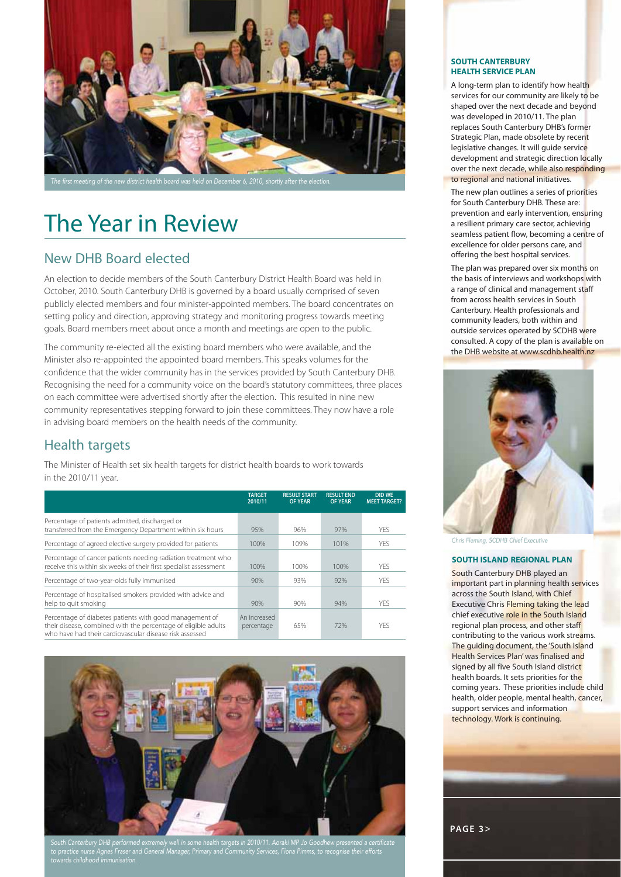

# The Year in Review

# New DHB Board elected

An election to decide members of the South Canterbury District Health Board was held in October, 2010. South Canterbury DHB is governed by a board usually comprised of seven publicly elected members and four minister-appointed members. The board concentrates on setting policy and direction, approving strategy and monitoring progress towards meeting goals. Board members meet about once a month and meetings are open to the public.

The community re-elected all the existing board members who were available, and the Minister also re-appointed the appointed board members. This speaks volumes for the confidence that the wider community has in the services provided by South Canterbury DHB. Recognising the need for a community voice on the board's statutory committees, three places on each committee were advertised shortly after the election. This resulted in nine new community representatives stepping forward to join these committees. They now have a role in advising board members on the health needs of the community.

# Health targets

The Minister of Health set six health targets for district health boards to work towards in the 2010/11 year.

|                                                                                                                                                                                      | <b>TARGET</b><br>2010/11   | <b>RESULT START</b><br><b>OF YEAR</b> | <b>RESULT END</b><br><b>OF YEAR</b> | <b>DID WE</b><br><b>MEET TARGET?</b> |
|--------------------------------------------------------------------------------------------------------------------------------------------------------------------------------------|----------------------------|---------------------------------------|-------------------------------------|--------------------------------------|
| Percentage of patients admitted, discharged or<br>transferred from the Emergency Department within six hours                                                                         | 95%                        | 96%                                   | 97%                                 | YFS.                                 |
| Percentage of agreed elective surgery provided for patients                                                                                                                          | 100%                       | 109%                                  | 101%                                | <b>YES</b>                           |
| Percentage of cancer patients needing radiation treatment who<br>receive this within six weeks of their first specialist assessment                                                  | 100%                       | 100%                                  | 100%                                | <b>YFS</b>                           |
| Percentage of two-year-olds fully immunised                                                                                                                                          | 90%                        | 93%                                   | 92%                                 | YFS.                                 |
| Percentage of hospitalised smokers provided with advice and<br>help to guit smoking                                                                                                  | 90%                        | 90%                                   | 94%                                 | <b>YFS</b>                           |
| Percentage of diabetes patients with good management of<br>their disease, combined with the percentage of eligible adults<br>who have had their cardiovascular disease risk assessed | An increased<br>percentage | 65%                                   | 72%                                 | <b>YFS</b>                           |



South Canterbury DHB performed extremely well in some health targets in 2010/11. Aoraki MP Jo Goodhew presented a certificate to practice nurse Agnes Fraser and General Manager, Primary and Community Services, Fiona Pimms, to recognise their efforts towards childhood immunisation.

#### **SOUTH CANTERBURY HEALTH SERVICE PLAN**

A long-term plan to identify how health services for our community are likely to be shaped over the next decade and beyond was developed in 2010/11. The plan replaces South Canterbury DHB's former Strategic Plan, made obsolete by recent legislative changes. It will guide service development and strategic direction locally over the next decade, while also responding to regional and national initiatives.

The new plan outlines a series of priorities for South Canterbury DHB. These are: prevention and early intervention, ensuring a resilient primary care sector, achieving seamless patient flow, becoming a centre of excellence for older persons care, and offering the best hospital services.

The plan was prepared over six months on the basis of interviews and workshops with a range of clinical and management staff from across health services in South Canterbury. Health professionals and community leaders, both within and outside services operated by SCDHB were consulted. A copy of the plan is available on the DHB website at www.scdhb.health.nz



Chris Fleming, SCDHB Chief Executive

#### **SOUTH ISLAND REGIONAL PLAN**

South Canterbury DHB played an important part in planning health services across the South Island, with Chief Executive Chris Fleming taking the lead chief executive role in the South Island regional plan process, and other staff contributing to the various work streams. The guiding document, the 'South Island Health Services Plan' was finalised and signed by all five South Island district health boards. It sets priorities for the coming years. These priorities include child health, older people, mental health, cancer, support services and information technology. Work is continuing.

**PAGE 3>**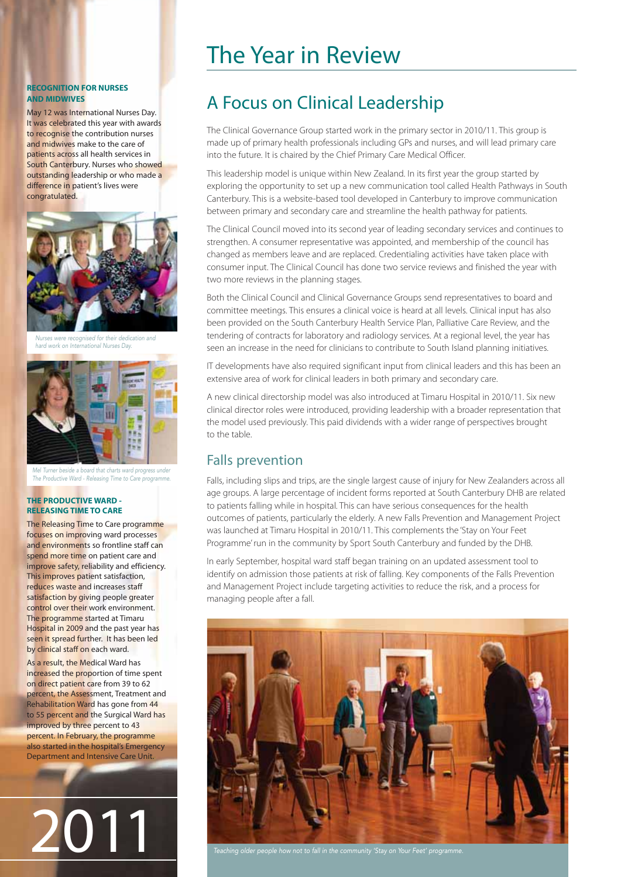#### **RECOGNITION FOR NURSES AND MIDWIVES**

May 12 was International Nurses Day. It was celebrated this year with awards to recognise the contribution nurses and midwives make to the care of patients across all health services in South Canterbury. Nurses who showed outstanding leadership or who made a difference in patient's lives were congratulated.



nised for their dedication ork on International Nurses Day



Mel Turner beside a board that charts ward progress under The Productive Ward - Releasing Time to Care programme.

#### **THE PRODUCTIVE WARD - RELEASING TIME TO CARE**

The Releasing Time to Care programme focuses on improving ward processes and environments so frontline staff can spend more time on patient care and improve safety, reliability and efficiency. This improves patient satisfaction, reduces waste and increases staff satisfaction by giving people greater control over their work environment. The programme started at Timaru Hospital in 2009 and the past year has seen it spread further. It has been led by clinical staff on each ward.

As a result, the Medical Ward has increased the proportion of time spent on direct patient care from 39 to 62 percent, the Assessment, Treatment and Rehabilitation Ward has gone from 44 to 55 percent and the Surgical Ward has improved by three percent to 43 percent. In February, the programme also started in the hospital's Emergency Department and Intensive Care Unit.

2011

# The Year in Review

# A Focus on Clinical Leadership

The Clinical Governance Group started work in the primary sector in 2010/11. This group is made up of primary health professionals including GPs and nurses, and will lead primary care into the future. It is chaired by the Chief Primary Care Medical Officer.

This leadership model is unique within New Zealand. In its first year the group started by exploring the opportunity to set up a new communication tool called Health Pathways in South Canterbury. This is a website-based tool developed in Canterbury to improve communication between primary and secondary care and streamline the health pathway for patients.

The Clinical Council moved into its second year of leading secondary services and continues to strengthen. A consumer representative was appointed, and membership of the council has changed as members leave and are replaced. Credentialing activities have taken place with consumer input. The Clinical Council has done two service reviews and finished the year with two more reviews in the planning stages.

Both the Clinical Council and Clinical Governance Groups send representatives to board and committee meetings. This ensures a clinical voice is heard at all levels. Clinical input has also been provided on the South Canterbury Health Service Plan, Palliative Care Review, and the tendering of contracts for laboratory and radiology services. At a regional level, the year has seen an increase in the need for clinicians to contribute to South Island planning initiatives.

IT developments have also required significant input from clinical leaders and this has been an extensive area of work for clinical leaders in both primary and secondary care.

A new clinical directorship model was also introduced at Timaru Hospital in 2010/11. Six new clinical director roles were introduced, providing leadership with a broader representation that the model used previously. This paid dividends with a wider range of perspectives brought to the table.

# Falls prevention

Falls, including slips and trips, are the single largest cause of injury for New Zealanders across all age groups. A large percentage of incident forms reported at South Canterbury DHB are related to patients falling while in hospital. This can have serious consequences for the health outcomes of patients, particularly the elderly. A new Falls Prevention and Management Project was launched at Timaru Hospital in 2010/11. This complements the 'Stay on Your Feet Programme' run in the community by Sport South Canterbury and funded by the DHB.

In early September, hospital ward staff began training on an updated assessment tool to identify on admission those patients at risk of falling. Key components of the Falls Prevention and Management Project include targeting activities to reduce the risk, and a process for managing people after a fall.



Teaching older people how not to fall in the community 'Stay on Your Feet' programme.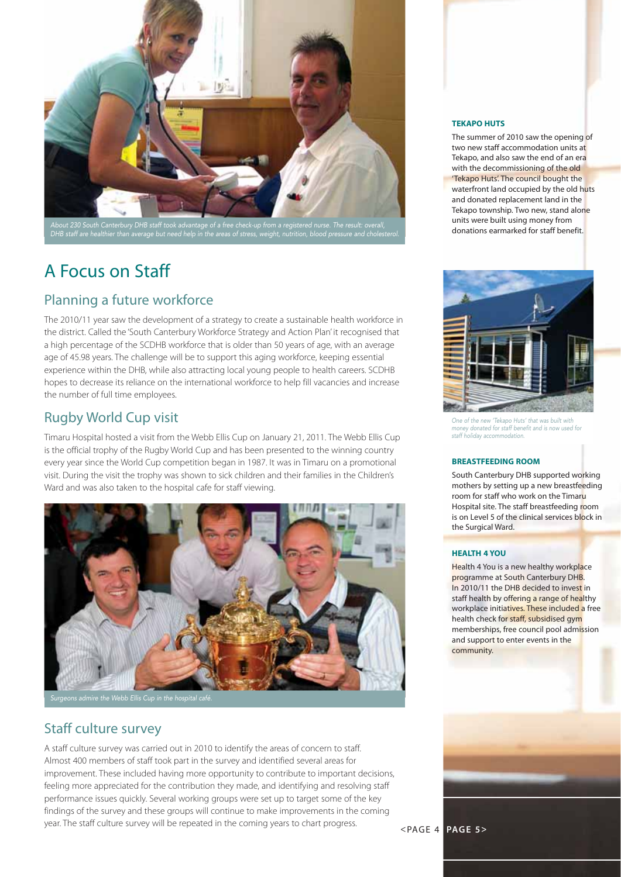

#### About 230 South Canterbury DHB staff took advantage of a free check-up from a registered nurse. The result: overall, DHB staff are healthier than average but need help in the areas of stress, weight, nutrition, blood pressure and cholesterol.

# A Focus on Staff

# Planning a future workforce

The 2010/11 year saw the development of a strategy to create a sustainable health workforce in the district. Called the 'South Canterbury Workforce Strategy and Action Plan' it recognised that a high percentage of the SCDHB workforce that is older than 50 years of age, with an average age of 45.98 years. The challenge will be to support this aging workforce, keeping essential experience within the DHB, while also attracting local young people to health careers. SCDHB hopes to decrease its reliance on the international workforce to help fill vacancies and increase the number of full time employees.

# Rugby World Cup visit

Timaru Hospital hosted a visit from the Webb Ellis Cup on January 21, 2011. The Webb Ellis Cup is the official trophy of the Rugby World Cup and has been presented to the winning country every year since the World Cup competition began in 1987. It was in Timaru on a promotional visit. During the visit the trophy was shown to sick children and their families in the Children's Ward and was also taken to the hospital cafe for staff viewing.



# Staff culture survey

A staff culture survey was carried out in 2010 to identify the areas of concern to staff. Almost 400 members of staff took part in the survey and identified several areas for improvement. These included having more opportunity to contribute to important decisions, feeling more appreciated for the contribution they made, and identifying and resolving staff performance issues quickly. Several working groups were set up to target some of the key findings of the survey and these groups will continue to make improvements in the coming year. The staff culture survey will be repeated in the coming years to chart progress. <PAGE 4 **PAGE 5>**

#### **TEKAPO HUTS**

The summer of 2010 saw the opening of two new staff accommodation units at Tekapo, and also saw the end of an era with the decommissioning of the old 'Tekapo Huts'. The council bought the waterfront land occupied by the old huts and donated replacement land in the Tekapo township. Two new, stand alone units were built using money from donations earmarked for staff benefit.



One of the new 'Tekapo Huts' that was built with money donated for staff benefit and is now used for staff holiday acco

#### **BREASTFEEDING ROOM**

South Canterbury DHB supported working mothers by setting up a new breastfeeding room for staff who work on the Timaru Hospital site. The staff breastfeeding room is on Level 5 of the clinical services block in the Surgical Ward.

#### **HEALTH 4 YOU**

Health 4 You is a new healthy workplace programme at South Canterbury DHB. In 2010/11 the DHB decided to invest in staff health by offering a range of healthy workplace initiatives. These included a free health check for staff, subsidised gym memberships, free council pool admission and support to enter events in the community.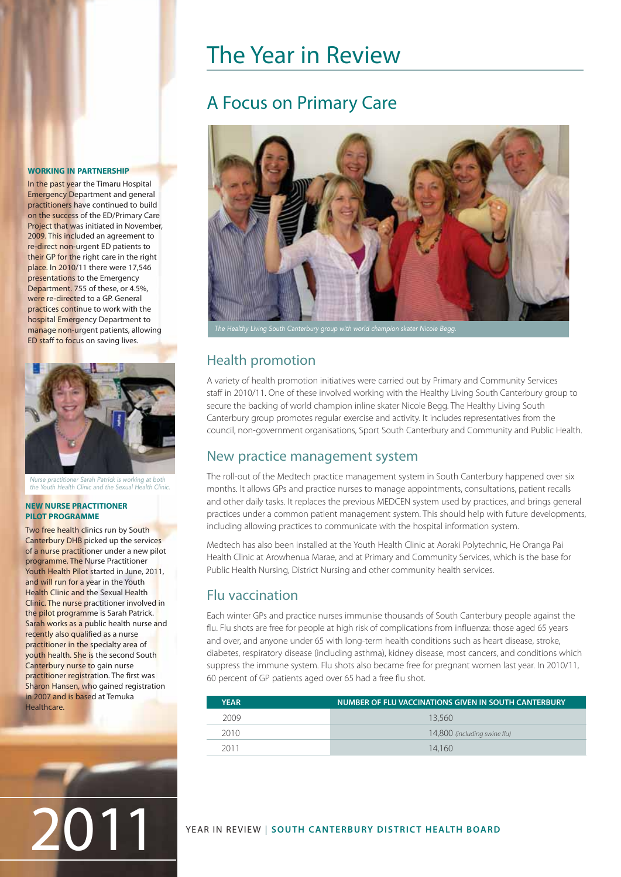# The Year in Review

# A Focus on Primary Care



# Health promotion

A variety of health promotion initiatives were carried out by Primary and Community Services staff in 2010/11. One of these involved working with the Healthy Living South Canterbury group to secure the backing of world champion inline skater Nicole Begg. The Healthy Living South Canterbury group promotes regular exercise and activity. It includes representatives from the council, non-government organisations, Sport South Canterbury and Community and Public Health.

# New practice management system

The roll-out of the Medtech practice management system in South Canterbury happened over six months. It allows GPs and practice nurses to manage appointments, consultations, patient recalls and other daily tasks. It replaces the previous MEDCEN system used by practices, and brings general practices under a common patient management system. This should help with future developments, including allowing practices to communicate with the hospital information system.

Medtech has also been installed at the Youth Health Clinic at Aoraki Polytechnic, He Oranga Pai Health Clinic at Arowhenua Marae, and at Primary and Community Services, which is the base for Public Health Nursing, District Nursing and other community health services.

# Flu vaccination

Each winter GPs and practice nurses immunise thousands of South Canterbury people against the flu. Flu shots are free for people at high risk of complications from influenza: those aged 65 years and over, and anyone under 65 with long-term health conditions such as heart disease, stroke, diabetes, respiratory disease (including asthma), kidney disease, most cancers, and conditions which suppress the immune system. Flu shots also became free for pregnant women last year. In 2010/11, 60 percent of GP patients aged over 65 had a free flu shot.

| <b>YEAR</b> | <u>NUMBER OF FLU VACCINATIONS GIVEN IN SOUTH CANTERBURY </u> |
|-------------|--------------------------------------------------------------|
| 2009        | 13.560                                                       |
| 2010        | 14,800 (including swine flu)                                 |
| 2011        | 14.160                                                       |

### **WORKING IN PARTNERSHIP**

In the past year the Timaru Hospital Emergency Department and general practitioners have continued to build on the success of the ED/Primary Care Project that was initiated in November, 2009. This included an agreement to re-direct non-urgent ED patients to their GP for the right care in the right place. In 2010/11 there were 17,546 presentations to the Emergency Department. 755 of these, or 4.5%, were re-directed to a GP. General practices continue to work with the hospital Emergency Department to manage non-urgent patients, allowing ED staff to focus on saving lives.



Nurse practitioner Sarah Patrick is working at both the Youth Health Clinic and the Sexual Health Clinic.

#### **NEW NURSE PRACTITIONER PILOT PROGRAMME**

Two free health clinics run by South Canterbury DHB picked up the services of a nurse practitioner under a new pilot programme. The Nurse Practitioner Youth Health Pilot started in June, 2011, and will run for a year in the Youth Health Clinic and the Sexual Health Clinic. The nurse practitioner involved in the pilot programme is Sarah Patrick. Sarah works as a public health nurse and recently also qualified as a nurse practitioner in the specialty area of youth health. She is the second South Canterbury nurse to gain nurse practitioner registration. The first was Sharon Hansen, who gained registration in 2007 and is based at Temuka **Healthcare**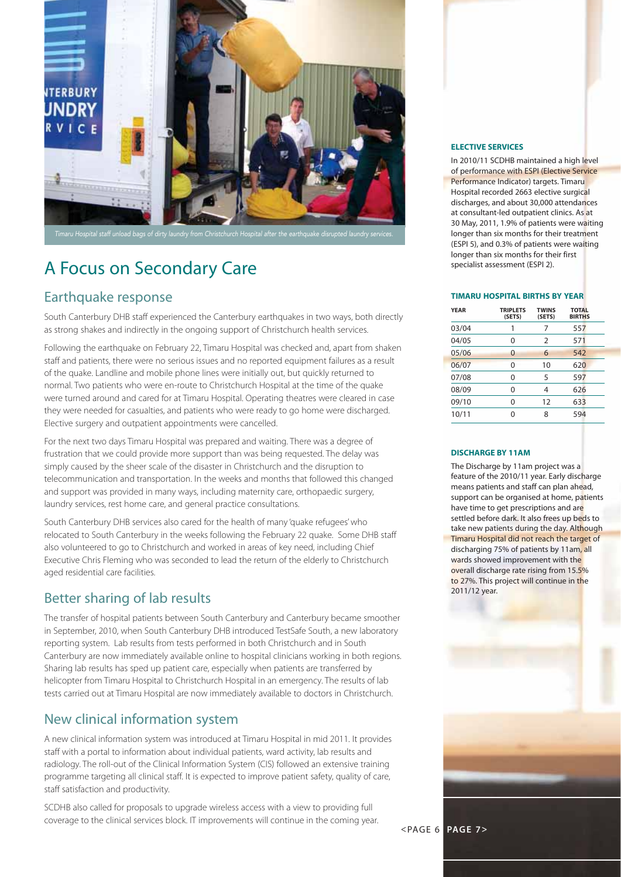

# A Focus on Secondary Care

### Earthquake response

South Canterbury DHB staff experienced the Canterbury earthquakes in two ways, both directly as strong shakes and indirectly in the ongoing support of Christchurch health services.

Following the earthquake on February 22, Timaru Hospital was checked and, apart from shaken staff and patients, there were no serious issues and no reported equipment failures as a result of the quake. Landline and mobile phone lines were initially out, but quickly returned to normal. Two patients who were en-route to Christchurch Hospital at the time of the quake were turned around and cared for at Timaru Hospital. Operating theatres were cleared in case they were needed for casualties, and patients who were ready to go home were discharged. Elective surgery and outpatient appointments were cancelled.

For the next two days Timaru Hospital was prepared and waiting. There was a degree of frustration that we could provide more support than was being requested. The delay was simply caused by the sheer scale of the disaster in Christchurch and the disruption to telecommunication and transportation. In the weeks and months that followed this changed and support was provided in many ways, including maternity care, orthopaedic surgery, laundry services, rest home care, and general practice consultations.

South Canterbury DHB services also cared for the health of many 'quake refugees' who relocated to South Canterbury in the weeks following the February 22 quake. Some DHB staff also volunteered to go to Christchurch and worked in areas of key need, including Chief Executive Chris Fleming who was seconded to lead the return of the elderly to Christchurch aged residential care facilities.

# Better sharing of lab results

The transfer of hospital patients between South Canterbury and Canterbury became smoother in September, 2010, when South Canterbury DHB introduced TestSafe South, a new laboratory reporting system. Lab results from tests performed in both Christchurch and in South Canterbury are now immediately available online to hospital clinicians working in both regions. Sharing lab results has sped up patient care, especially when patients are transferred by helicopter from Timaru Hospital to Christchurch Hospital in an emergency. The results of lab tests carried out at Timaru Hospital are now immediately available to doctors in Christchurch.

# New clinical information system

A new clinical information system was introduced at Timaru Hospital in mid 2011. It provides staff with a portal to information about individual patients, ward activity, lab results and radiology. The roll-out of the Clinical Information System (CIS) followed an extensive training programme targeting all clinical staff. It is expected to improve patient safety, quality of care, staff satisfaction and productivity.

SCDHB also called for proposals to upgrade wireless access with a view to providing full coverage to the clinical services block. IT improvements will continue in the coming year.

#### **ELECTIVE SERVICES**

In 2010/11 SCDHB maintained a high level of performance with ESPI (Elective Service Performance Indicator) targets. Timaru Hospital recorded 2663 elective surgical discharges, and about 30,000 attendances at consultant-led outpatient clinics. As at 30 May, 2011, 1.9% of patients were waiting longer than six months for their treatment (ESPI 5), and 0.3% of patients were waiting longer than six months for their first specialist assessment (ESPI 2).

#### **TIMARU HOSPITAL BIRTHS BY YEAR**

| <b>YEAR</b> | <b>TRIPLETS</b><br>(SETS) | <b>TWINS</b><br>(SETS) | <b>TOTAL</b><br><b>BIRTHS</b> |
|-------------|---------------------------|------------------------|-------------------------------|
| 03/04       | 1                         | 7                      | 557                           |
| 04/05       | 0                         | 2                      | 571                           |
| 05/06       | 0                         | 6                      | 542                           |
| 06/07       | 0                         | 10                     | 620                           |
| 07/08       | 0                         | 5                      | 597                           |
| 08/09       | 0                         | 4                      | 626                           |
| 09/10       | 0                         | 12                     | 633                           |
| 10/11       | U                         | 8                      | 594                           |

#### **DISCHARGE BY 11AM**

The Discharge by 11am project was a feature of the 2010/11 year. Early discharge means patients and staff can plan ahead, support can be organised at home, patients have time to get prescriptions and are settled before dark. It also frees up beds to take new patients during the day. Although Timaru Hospital did not reach the target of discharging 75% of patients by 11am, all wards showed improvement with the overall discharge rate rising from 15.5% to 27%. This project will continue in the 2011/12 year.

<PAGE 6 **PAGE 7>**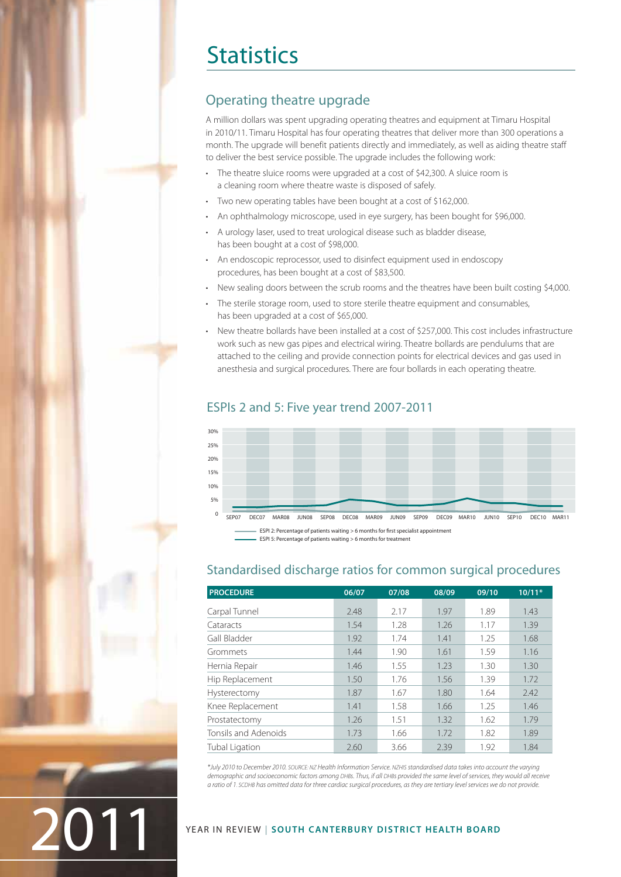# **Statistics**

# Operating theatre upgrade

A million dollars was spent upgrading operating theatres and equipment at Timaru Hospital in 2010/11. Timaru Hospital has four operating theatres that deliver more than 300 operations a month. The upgrade will benefit patients directly and immediately, as well as aiding theatre staff to deliver the best service possible. The upgrade includes the following work:

- The theatre sluice rooms were upgraded at a cost of \$42,300. A sluice room is a cleaning room where theatre waste is disposed of safely.
- Two new operating tables have been bought at a cost of \$162,000.
- An ophthalmology microscope, used in eye surgery, has been bought for \$96,000.
- A urology laser, used to treat urological disease such as bladder disease, has been bought at a cost of \$98,000.
- An endoscopic reprocessor, used to disinfect equipment used in endoscopy procedures, has been bought at a cost of \$83,500.
- New sealing doors between the scrub rooms and the theatres have been built costing \$4,000.
- The sterile storage room, used to store sterile theatre equipment and consumables. has been upgraded at a cost of \$65,000.
- New theatre bollards have been installed at a cost of \$257,000. This cost includes infrastructure work such as new gas pipes and electrical wiring. Theatre bollards are pendulums that are attached to the ceiling and provide connection points for electrical devices and gas used in anesthesia and surgical procedures. There are four bollards in each operating theatre.

### ESPIs 2 and 5: Five year trend 2007-2011



### **PROCEDURE 06/07 07/08 08/09 09/10 10/11\*** Carpal Tunnel 2.48 2.17 1.97 1.89 1.43 Cataracts 1.54 1.28 1.26 1.17 1.39 Gall Bladder 1.92 1.74 1.41 1.25 1.68 Grommets 1.44 1.90 1.61 1.59 1.16 Hernia Repair **1.46** 1.55 1.23 1.30 1.30 Hip Replacement 1.50 1.76 1.56 1.39 1.72 Hysterectomy 1.87 1.67 1.80 1.64 2.42 Knee Replacement 1.41 1.58 1.66 1.25 1.46 Prostatectomy 1.26 1.51 1.32 1.62 1.79 Tonsils and Adenoids 1.73 1.66 1.72 1.82 1.89 Tubal Ligation 2.60 3.66 2.39 1.92 1.84

Standardised discharge ratios for common surgical procedures

\*July 2010 to December 2010. SOURCE: NZ Health Information Service. NZHIS standardised data takes into account the varying demographic and socioeconomic factors among DHBs. Thus, if all DHBs provided the same level of services, they would all receive a ratio of 1. SCDHB has omitted data for three cardiac surgical procedures, as they are tertiary level services we do not provide.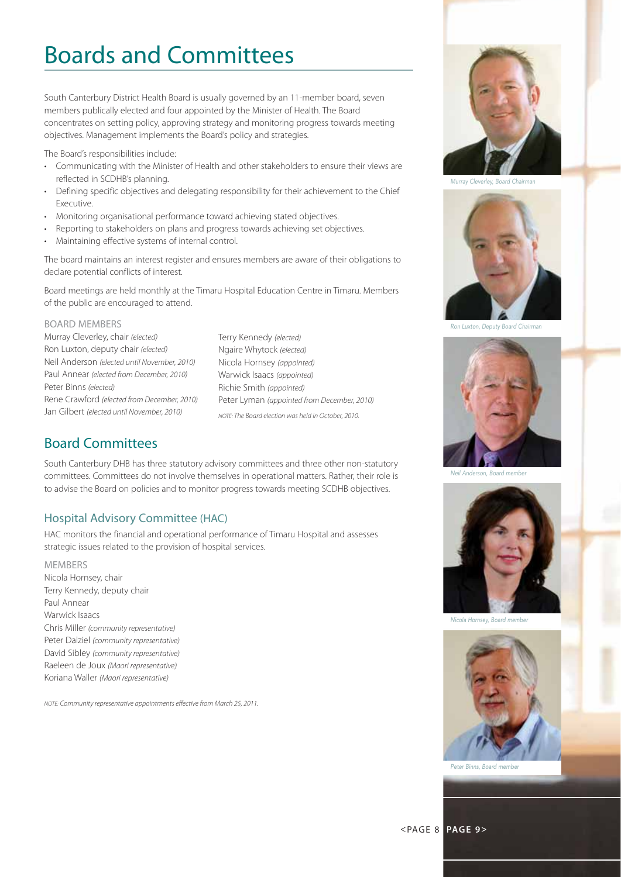# Boards and Committees

South Canterbury District Health Board is usually governed by an 11-member board, seven members publically elected and four appointed by the Minister of Health. The Board concentrates on setting policy, approving strategy and monitoring progress towards meeting objectives. Management implements the Board's policy and strategies.

The Board's responsibilities include:

- Communicating with the Minister of Health and other stakeholders to ensure their views are reflected in SCDHB's planning.
- Defining specific objectives and delegating responsibility for their achievement to the Chief Executive.
- Monitoring organisational performance toward achieving stated objectives.
- Reporting to stakeholders on plans and progress towards achieving set objectives.
- Maintaining effective systems of internal control.

The board maintains an interest register and ensures members are aware of their obligations to declare potential conflicts of interest.

Board meetings are held monthly at the Timaru Hospital Education Centre in Timaru. Members of the public are encouraged to attend.

#### BOARD MEMBERS

Murray Cleverley, chair (elected) Ron Luxton, deputy chair (elected) Neil Anderson (elected until November, 2010) Paul Annear (elected from December, 2010) Peter Binns (elected) Rene Crawford (elected from December, 2010) Jan Gilbert (elected until November, 2010)

Terry Kennedy (elected) Ngaire Whytock (elected) Nicola Hornsey (appointed) Warwick Isaacs (appointed) Richie Smith (appointed) Peter Lyman (appointed from December, 2010) NOTE: The Board election was held in October, 2010.

# Board Committees

South Canterbury DHB has three statutory advisory committees and three other non-statutory committees. Committees do not involve themselves in operational matters. Rather, their role is to advise the Board on policies and to monitor progress towards meeting SCDHB objectives.

### Hospital Advisory Committee (HAC)

HAC monitors the financial and operational performance of Timaru Hospital and assesses strategic issues related to the provision of hospital services.

MEMBERS Nicola Hornsey, chair Terry Kennedy, deputy chair Paul Annear Warwick Isaacs Chris Miller (community representative) Peter Dalziel (community representative) David Sibley (community representative) Raeleen de Joux (Maori representative) Koriana Waller (Maori representative)

NOTE: Community representative appointments effective from March 25, 2011.



Murray Cleverley, Board Chairman



Ron Luxton, Deputy Board Chairman



Neil Anderson, Board member



Nicola Hornsey, Board member

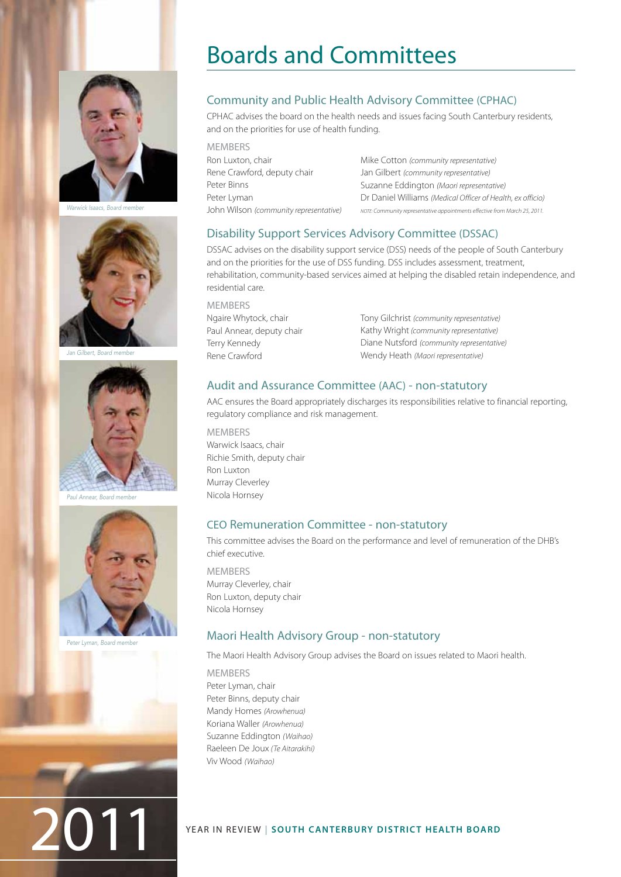

Warwick Isaacs, Board member



Jan Gilbert, Board member



Paul Annear, Board member



Peter Lyman, Board member

# Boards and Committees

# Community and Public Health Advisory Committee (CPHAC)

CPHAC advises the board on the health needs and issues facing South Canterbury residents, and on the priorities for use of health funding.

**MEMBERS** Ron Luxton, chair Rene Crawford, deputy chair Peter Binns Peter Lyman John Wilson (community representative)

Mike Cotton (community representative) Jan Gilbert (community representative) Suzanne Eddington (Maori representative) Dr Daniel Williams (Medical Officer of Health, ex officio) NOTE: Community representative appointments effective from March 25, 2011.

### Disability Support Services Advisory Committee (DSSAC)

DSSAC advises on the disability support service (DSS) needs of the people of South Canterbury and on the priorities for the use of DSS funding. DSS includes assessment, treatment, rehabilitation, community-based services aimed at helping the disabled retain independence, and residential care.

**MEMBERS** Ngaire Whytock, chair Paul Annear, deputy chair Terry Kennedy Rene Crawford

Tony Gilchrist (community representative) Kathy Wright (community representative) Diane Nutsford (community representative) Wendy Heath (Maori representative)

### Audit and Assurance Committee (AAC) - non-statutory

AAC ensures the Board appropriately discharges its responsibilities relative to financial reporting, regulatory compliance and risk management.

MEMBERS Warwick Isaacs, chair Richie Smith, deputy chair Ron Luxton Murray Cleverley Nicola Hornsey

### CEO Remuneration Committee - non-statutory

This committee advises the Board on the performance and level of remuneration of the DHB's chief executive.

**MEMBERS** Murray Cleverley, chair Ron Luxton, deputy chair Nicola Hornsey

### Maori Health Advisory Group - non-statutory

The Maori Health Advisory Group advises the Board on issues related to Maori health.

MEMBERS Peter Lyman, chair Peter Binns, deputy chair Mandy Homes (Arowhenua) Koriana Waller (Arowhenua) Suzanne Eddington (Waihao) Raeleen De Joux (Te Aitarakihi) Viv Wood (Waihao)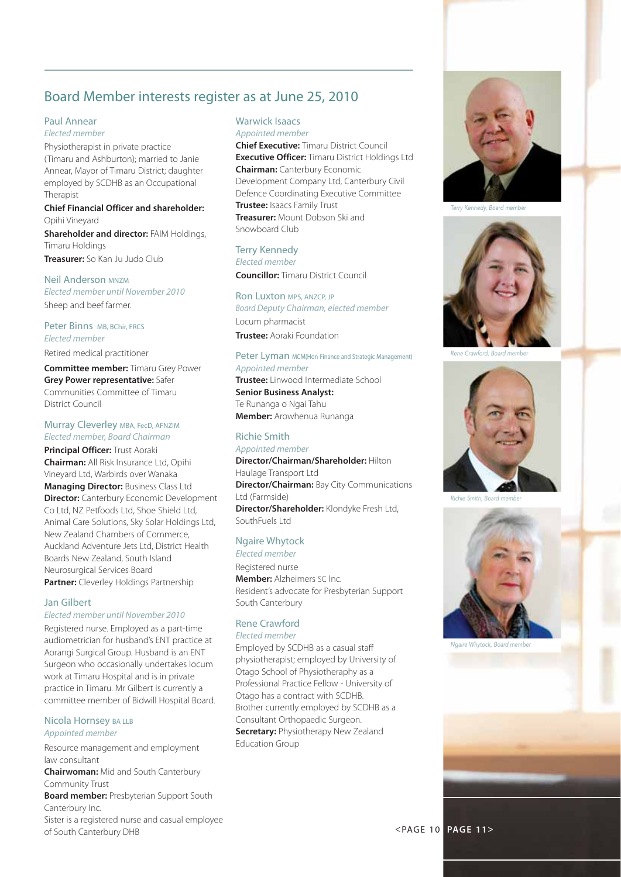# Board Member interests register as at June 25, 2010

#### Paul Annear

Elected member

Physiotherapist in private practice (Timaru and Ashburton); married to Janie Annear, Mayor of Timaru District; daughter employed by SCDHB as an Occupational Therapist

#### **Chief Financial Officer and shareholder:** Opihi Vineyard

**Shareholder and director: FAIM Holdings,** Timaru Holdings **Treasurer:** So Kan Ju Judo Club

**Neil Anderson MNZM** Elected member until November 2010 Sheep and beef farmer.

Peter Binns MB, BChir, FRCS Elected member

Retired medical practitioner

**Committee member:** Timaru Grey Power **Grey Power representative:** Safer Communities Committee of Timaru District Council

#### Murray Cleverley MBA, FecD, AFNZIM Elected member, Board Chairman

**Principal Officer: Trust Aoraki** 

**Chairman:** All Risk Insurance Ltd, Opihi Vineyard Ltd, Warbirds over Wanaka **Managing Director: Business Class Ltd Director:** Canterbury Economic Development Co Ltd, NZ Petfoods Ltd, Shoe Shield Ltd, Animal Care Solutions, Sky Solar Holdings Ltd, New Zealand Chambers of Commerce, Auckland Adventure Jets Ltd, District Health Boards New Zealand, South Island Neurosurgical Services Board **Partner:** Cleverley Holdings Partnership

#### Jan Gilbert

#### Elected member until November 2010

Registered nurse. Employed as a part-time audiometrician for husband's ENT practice at Aorangi Surgical Group. Husband is an ENT Surgeon who occasionally undertakes locum work at Timaru Hospital and is in private practice in Timaru. Mr Gilbert is currently a committee member of Bidwill Hospital Board.

#### Nicola Hornsey BA LLB Appointed member

Resource management and employment law consultant

**Chairwoman:** Mid and South Canterbury Community Trust

**Board member: Presbyterian Support South** Canterbury Inc.

Sister is a registered nurse and casual employee of South Canterbury DHB

# Warwick Isaacs

Appointed member **Chief Executive:** Timaru District Council **Executive Officer:** Timaru District Holdings Ltd **Chairman:** Canterbury Economic Development Company Ltd, Canterbury Civil Defence Coordinating Executive Committee **Trustee:** Isaacs Family Trust **Treasurer:** Mount Dobson Ski and Snowboard Club

#### Terry Kennedy

Elected member

**Councillor:** Timaru District Council

#### Ron Luxton MPS, ANZCP, JP

Board Deputy Chairman, elected member Locum pharmacist **Trustee:** Aoraki Foundation

#### Peter Lyman MCM(Hon-Finance and Strategic Management)

#### Appointed member

**Trustee:** Linwood Intermediate School **Senior Business Analyst:**  Te Runanga o Ngai Tahu **Member:** Arowhenua Runanga

# Richie Smith

Appointed member **Director/Chairman/Shareholder:** Hilton Haulage Transport Ltd **Director/Chairman:** Bay City Communications Ltd (Farmside) **Director/Shareholder:** Klondyke Fresh Ltd, SouthFuels Ltd

#### Ngaire Whytock Elected member

Registered nurse **Member:** Alzheimers SC Inc. Resident's advocate for Presbyterian Support South Canterbury

### Rene Crawford

Elected member Employed by SCDHB as a casual staff physiotherapist; employed by University of Otago School of Physiotheraphy as a Professional Practice Fellow - University of Otago has a contract with SCDHB. Brother currently employed by SCDHB as a Consultant Orthopaedic Surgeon. **Secretary: Physiotherapy New Zealand** Education Group



Terry Kennedy, Board member



Rene Crawford, Board member



Richie Smith, Board member



Ngaire Whytock, Board member